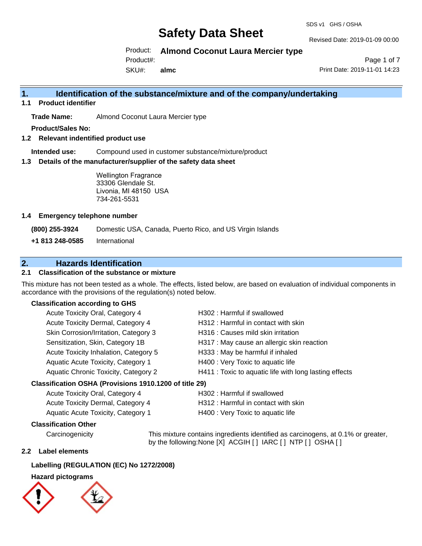#### SDS v1 GHS / OSHA

# **Safety Data Sheet**

Revised Date: 2019-01-09 00:00

Product: **Almond Coconut Laura Mercier type** 

Product#:

SKU#: **almc**

Page 1 of 7 Print Date: 2019-11-01 14:23

## **1. Identification of the substance/mixture and of the company/undertaking**

**1.1 Product identifier**

**Trade Name:** Almond Coconut Laura Mercier type

**Product/Sales No:**

**1.2 Relevant indentified product use**

**Intended use:** Compound used in customer substance/mixture/product

**1.3 Details of the manufacturer/supplier of the safety data sheet**

Wellington Fragrance 33306 Glendale St. Livonia, MI 48150 USA 734-261-5531

## **1.4 Emergency telephone number**

**(800) 255-3924** Domestic USA, Canada, Puerto Rico, and US Virgin Islands

**+1 813 248-0585** International

## **2. Hazards Identification**

## **2.1 Classification of the substance or mixture**

This mixture has not been tested as a whole. The effects, listed below, are based on evaluation of individual components in accordance with the provisions of the regulation(s) noted below.

## **Classification according to GHS**

| Acute Toxicity Oral, Category 4                     | H302: Harmful if swallowed                             |
|-----------------------------------------------------|--------------------------------------------------------|
| Acute Toxicity Dermal, Category 4                   | H312: Harmful in contact with skin                     |
| Skin Corrosion/Irritation, Category 3               | H316 : Causes mild skin irritation                     |
| Sensitization, Skin, Category 1B                    | H317 : May cause an allergic skin reaction             |
| Acute Toxicity Inhalation, Category 5               | H333: May be harmful if inhaled                        |
| Aquatic Acute Toxicity, Category 1                  | H400 : Very Toxic to aquatic life                      |
| Aquatic Chronic Toxicity, Category 2                | H411 : Toxic to aquatic life with long lasting effects |
| ceification OSHA (Provisions 1010 1200 of title 20) |                                                        |

## **Classification OSHA (Provisions 1910.1200 of title 29)**

| Acute Toxicity Oral, Category 4    | H302 : Harmful if swallowed         |
|------------------------------------|-------------------------------------|
| Acute Toxicity Dermal, Category 4  | H312 : Harmful in contact with skin |
| Aquatic Acute Toxicity, Category 1 | H400 : Very Toxic to aquatic life   |

## **Classification Other**

Carcinogenicity This mixture contains ingredients identified as carcinogens, at 0.1% or greater, by the following:None [X] ACGIH [ ] IARC [ ] NTP [ ] OSHA [ ]

## **2.2 Label elements**

## **Labelling (REGULATION (EC) No 1272/2008)**

## **Hazard pictograms**

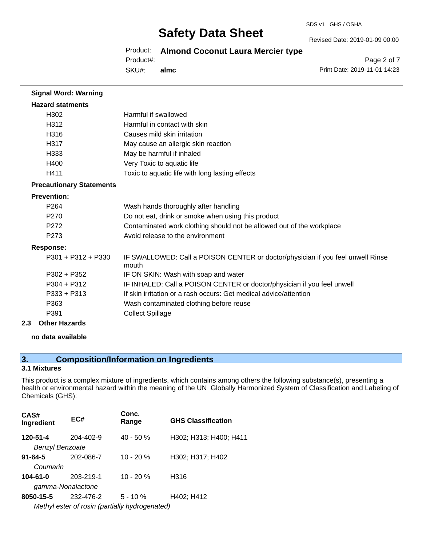#### SDS v1 GHS / OSHA

# **Safety Data Sheet**

Revised Date: 2019-01-09 00:00

## Product: **Almond Coconut Laura Mercier type**

Product#:

SKU#: **almc**

Page 2 of 7 Print Date: 2019-11-01 14:23

| <b>Hazard statments</b>         |                                                                                          |
|---------------------------------|------------------------------------------------------------------------------------------|
| H302                            | Harmful if swallowed                                                                     |
| H312                            | Harmful in contact with skin                                                             |
| H316                            | Causes mild skin irritation                                                              |
| H317                            | May cause an allergic skin reaction                                                      |
| H333                            | May be harmful if inhaled                                                                |
| H400                            | Very Toxic to aquatic life                                                               |
| H411                            | Toxic to aquatic life with long lasting effects                                          |
| <b>Precautionary Statements</b> |                                                                                          |
| <b>Prevention:</b>              |                                                                                          |
| P <sub>264</sub>                | Wash hands thoroughly after handling                                                     |
| P <sub>270</sub>                | Do not eat, drink or smoke when using this product                                       |
| P <sub>272</sub>                | Contaminated work clothing should not be allowed out of the workplace                    |
| P <sub>273</sub>                | Avoid release to the environment                                                         |
| <b>Response:</b>                |                                                                                          |
| P301 + P312 + P330              | IF SWALLOWED: Call a POISON CENTER or doctor/physician if you feel unwell Rinse<br>mouth |
| P302 + P352                     | IF ON SKIN: Wash with soap and water                                                     |
| $P304 + P312$                   | IF INHALED: Call a POISON CENTER or doctor/physician if you feel unwell                  |
| $P333 + P313$                   | If skin irritation or a rash occurs: Get medical advice/attention                        |
| P363                            | Wash contaminated clothing before reuse                                                  |
| P391                            | <b>Collect Spillage</b>                                                                  |
| 2.3<br><b>Other Hazards</b>     |                                                                                          |

**no data available**

**Signal Word: Warning**

## **3. Composition/Information on Ingredients**

## **3.1 Mixtures**

This product is a complex mixture of ingredients, which contains among others the following substance(s), presenting a health or environmental hazard within the meaning of the UN Globally Harmonized System of Classification and Labeling of Chemicals (GHS):

| CAS#<br>Ingredient     | EC#       | Conc.<br>Range                                 | <b>GHS Classification</b> |
|------------------------|-----------|------------------------------------------------|---------------------------|
| 120-51-4               | 204-402-9 | $40 - 50%$                                     | H302; H313; H400; H411    |
| <b>Benzyl Benzoate</b> |           |                                                |                           |
| $91 - 64 - 5$          | 202-086-7 | $10 - 20 %$                                    | H302; H317; H402          |
| Coumarin               |           |                                                |                           |
| $104 - 61 - 0$         | 203-219-1 | $10 - 20 %$                                    | H316                      |
| gamma-Nonalactone      |           |                                                |                           |
| 8050-15-5              | 232-476-2 | $5 - 10 \%$                                    | H402; H412                |
|                        |           | Methyl ester of rosin (partially hydrogenated) |                           |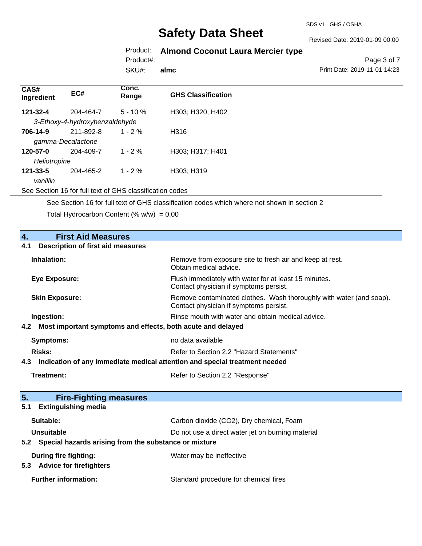### Revised Date: 2019-01-09 00:00

# Product: **Almond Coconut Laura Mercier type**

Product#:

SKU#: **almc**

Page 3 of 7 Print Date: 2019-11-01 14:23

| CAS#<br>Ingredient | EC#                            | Conc.<br>Range | <b>GHS Classification</b> |
|--------------------|--------------------------------|----------------|---------------------------|
| 121-32-4           | 204-464-7                      | $5 - 10 \%$    | H303; H320; H402          |
|                    | 3-Ethoxy-4-hydroxybenzaldehyde |                |                           |
| 706-14-9           | 211-892-8                      | $1 - 2\%$      | H316                      |
|                    | gamma-Decalactone              |                |                           |
| 120-57-0           | 204-409-7                      | $1 - 2 \%$     | H303; H317; H401          |
| Heliotropine       |                                |                |                           |
| $121 - 33 - 5$     | 204-465-2                      | $1 - 2 \%$     | H303; H319                |
| vanillin           |                                |                |                           |

See Section 16 for full text of GHS classification codes

See Section 16 for full text of GHS classification codes which where not shown in section 2

Total Hydrocarbon Content (%  $w/w$ ) = 0.00

| 4.<br><b>First Aid Measures</b>                                                   |                                                                                                               |
|-----------------------------------------------------------------------------------|---------------------------------------------------------------------------------------------------------------|
| <b>Description of first aid measures</b><br>4.1                                   |                                                                                                               |
| Inhalation:                                                                       | Remove from exposure site to fresh air and keep at rest.<br>Obtain medical advice.                            |
| <b>Eye Exposure:</b>                                                              | Flush immediately with water for at least 15 minutes.<br>Contact physician if symptoms persist.               |
| <b>Skin Exposure:</b>                                                             | Remove contaminated clothes. Wash thoroughly with water (and soap).<br>Contact physician if symptoms persist. |
| Ingestion:                                                                        | Rinse mouth with water and obtain medical advice.                                                             |
| Most important symptoms and effects, both acute and delayed<br>4.2                |                                                                                                               |
| <b>Symptoms:</b>                                                                  | no data available                                                                                             |
| Risks:                                                                            | Refer to Section 2.2 "Hazard Statements"                                                                      |
| Indication of any immediate medical attention and special treatment needed<br>4.3 |                                                                                                               |
| Treatment:                                                                        | Refer to Section 2.2 "Response"                                                                               |
|                                                                                   |                                                                                                               |
| 5 <sub>1</sub><br><b>Fire-Fighting measures</b>                                   |                                                                                                               |
| <b>Extinguishing media</b><br>5.1                                                 |                                                                                                               |
| Suitable:                                                                         | Carbon dioxide (CO2), Dry chemical, Foam                                                                      |
| Unsuitable                                                                        | Do not use a direct water jet on burning material                                                             |
| Special hazards arising from the substance or mixture<br>5.2                      |                                                                                                               |
| <b>During fire fighting:</b><br><b>Advice for firefighters</b><br>5.3             | Water may be ineffective                                                                                      |
| <b>Further information:</b>                                                       | Standard procedure for chemical fires                                                                         |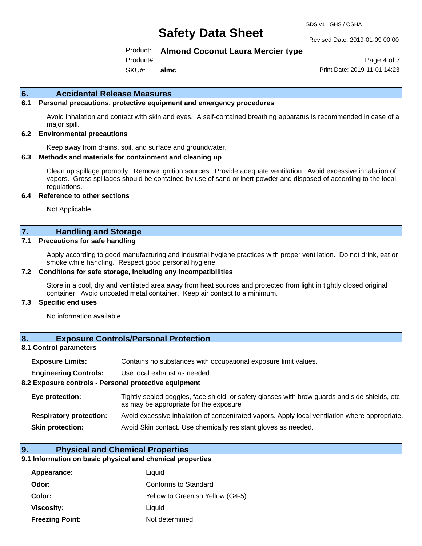#### Revised Date: 2019-01-09 00:00

## Product: **Almond Coconut Laura Mercier type**

Product#:

SKU#: **almc**

Page 4 of 7 Print Date: 2019-11-01 14:23

### **6. Accidental Release Measures**

## **6.1 Personal precautions, protective equipment and emergency procedures**

Avoid inhalation and contact with skin and eyes. A self-contained breathing apparatus is recommended in case of a major spill.

#### **6.2 Environmental precautions**

Keep away from drains, soil, and surface and groundwater.

#### **6.3 Methods and materials for containment and cleaning up**

Clean up spillage promptly. Remove ignition sources. Provide adequate ventilation. Avoid excessive inhalation of vapors. Gross spillages should be contained by use of sand or inert powder and disposed of according to the local regulations.

#### **6.4 Reference to other sections**

Not Applicable

## **7. Handling and Storage**

#### **7.1 Precautions for safe handling**

Apply according to good manufacturing and industrial hygiene practices with proper ventilation. Do not drink, eat or smoke while handling. Respect good personal hygiene.

#### **7.2 Conditions for safe storage, including any incompatibilities**

Store in a cool, dry and ventilated area away from heat sources and protected from light in tightly closed original container. Avoid uncoated metal container. Keep air contact to a minimum.

#### **7.3 Specific end uses**

No information available

## **8. Exposure Controls/Personal Protection**

#### **8.1 Control parameters**

| <b>Exposure Limits:</b> |  |  |  | Contains no substances with occupational exposure limit values. |  |
|-------------------------|--|--|--|-----------------------------------------------------------------|--|
|-------------------------|--|--|--|-----------------------------------------------------------------|--|

**Engineering Controls:** Use local exhaust as needed.

#### **8.2 Exposure controls - Personal protective equipment**

| Eye protection:                | Tightly sealed goggles, face shield, or safety glasses with brow guards and side shields, etc.<br>as may be appropriate for the exposure |
|--------------------------------|------------------------------------------------------------------------------------------------------------------------------------------|
| <b>Respiratory protection:</b> | Avoid excessive inhalation of concentrated vapors. Apply local ventilation where appropriate.                                            |
| <b>Skin protection:</b>        | Avoid Skin contact. Use chemically resistant gloves as needed.                                                                           |

### **9. Physical and Chemical Properties**

### **9.1 Information on basic physical and chemical properties**

| Appearance:            | Liquid                           |
|------------------------|----------------------------------|
| Odor:                  | Conforms to Standard             |
| Color:                 | Yellow to Greenish Yellow (G4-5) |
| Viscosity:             | Liquid                           |
| <b>Freezing Point:</b> | Not determined                   |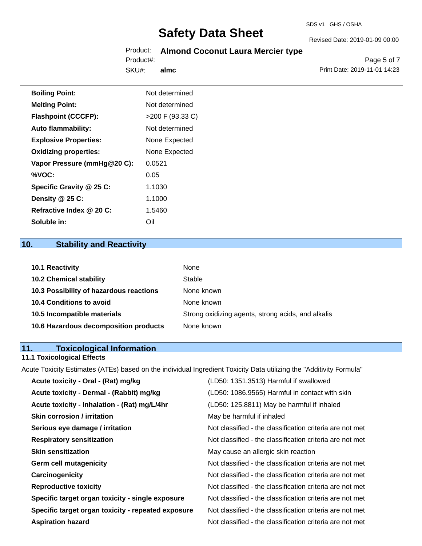# Product: **Almond Coconut Laura Mercier type**

SKU#: Product#: **almc**

Page 5 of 7 Print Date: 2019-11-01 14:23

Revised Date: 2019-01-09 00:00

| <b>Boiling Point:</b>        | Not determined   |
|------------------------------|------------------|
| <b>Melting Point:</b>        | Not determined   |
| <b>Flashpoint (CCCFP):</b>   | >200 F (93.33 C) |
| <b>Auto flammability:</b>    | Not determined   |
| <b>Explosive Properties:</b> | None Expected    |
| <b>Oxidizing properties:</b> | None Expected    |
| Vapor Pressure (mmHg@20 C):  | 0.0521           |
| %VOC:                        | 0.05             |
| Specific Gravity @ 25 C:     | 1.1030           |
| Density @ 25 C:              | 1.1000           |
| Refractive Index @ 20 C:     | 1.5460           |
| Soluble in:                  | Oil              |

# **10. Stability and Reactivity**

| 10.1 Reactivity                         | None                                               |
|-----------------------------------------|----------------------------------------------------|
| <b>10.2 Chemical stability</b>          | Stable                                             |
| 10.3 Possibility of hazardous reactions | None known                                         |
| <b>10.4 Conditions to avoid</b>         | None known                                         |
| 10.5 Incompatible materials             | Strong oxidizing agents, strong acids, and alkalis |
| 10.6 Hazardous decomposition products   | None known                                         |

# **11. Toxicological Information**

## **11.1 Toxicological Effects**

Acute Toxicity Estimates (ATEs) based on the individual Ingredient Toxicity Data utilizing the "Additivity Formula"

| Acute toxicity - Oral - (Rat) mg/kg                | (LD50: 1351.3513) Harmful if swallowed                   |
|----------------------------------------------------|----------------------------------------------------------|
| Acute toxicity - Dermal - (Rabbit) mg/kg           | (LD50: 1086.9565) Harmful in contact with skin           |
| Acute toxicity - Inhalation - (Rat) mg/L/4hr       | (LD50: 125.8811) May be harmful if inhaled               |
| <b>Skin corrosion / irritation</b>                 | May be harmful if inhaled                                |
| Serious eye damage / irritation                    | Not classified - the classification criteria are not met |
| <b>Respiratory sensitization</b>                   | Not classified - the classification criteria are not met |
| <b>Skin sensitization</b>                          | May cause an allergic skin reaction                      |
| <b>Germ cell mutagenicity</b>                      | Not classified - the classification criteria are not met |
| Carcinogenicity                                    | Not classified - the classification criteria are not met |
| <b>Reproductive toxicity</b>                       | Not classified - the classification criteria are not met |
| Specific target organ toxicity - single exposure   | Not classified - the classification criteria are not met |
| Specific target organ toxicity - repeated exposure | Not classified - the classification criteria are not met |
| <b>Aspiration hazard</b>                           | Not classified - the classification criteria are not met |
|                                                    |                                                          |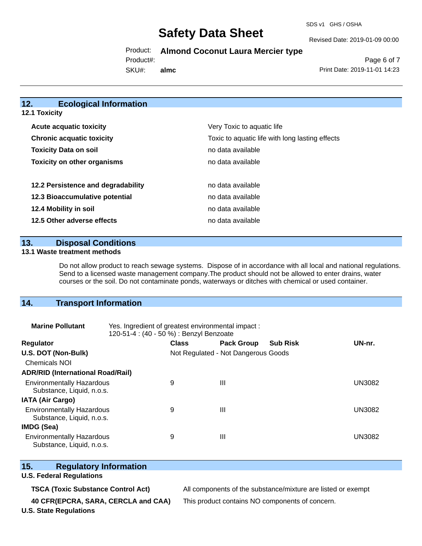SDS v1 GHS / OSHA

Revised Date: 2019-01-09 00:00

Product: **Almond Coconut Laura Mercier type** 

Product#:

SKU#: **almc**

Page 6 of 7 Print Date: 2019-11-01 14:23

## **12. Ecological Information**

| <b>12.1 Toxicity</b>               |                                                                               |  |  |  |
|------------------------------------|-------------------------------------------------------------------------------|--|--|--|
| Acute acquatic toxicity            | Very Toxic to aquatic life<br>Toxic to aquatic life with long lasting effects |  |  |  |
| <b>Chronic acquatic toxicity</b>   |                                                                               |  |  |  |
| <b>Toxicity Data on soil</b>       | no data available                                                             |  |  |  |
| <b>Toxicity on other organisms</b> | no data available                                                             |  |  |  |
| 12.2 Persistence and degradability | no data available                                                             |  |  |  |
| 12.3 Bioaccumulative potential     | no data available                                                             |  |  |  |
| 12.4 Mobility in soil              | no data available                                                             |  |  |  |
| 12.5 Other adverse effects         | no data available                                                             |  |  |  |

**13. Disposal Conditions** 

### **13.1 Waste treatment methods**

Do not allow product to reach sewage systems. Dispose of in accordance with all local and national regulations. Send to a licensed waste management company.The product should not be allowed to enter drains, water courses or the soil. Do not contaminate ponds, waterways or ditches with chemical or used container.

## **14. Transport Information**

| <b>Marine Pollutant</b>                                       | Yes. Ingredient of greatest environmental impact:<br>120-51-4 : (40 - 50 %) : Benzyl Benzoate |                                     |                   |                 |               |
|---------------------------------------------------------------|-----------------------------------------------------------------------------------------------|-------------------------------------|-------------------|-----------------|---------------|
| <b>Regulator</b>                                              |                                                                                               | <b>Class</b>                        | <b>Pack Group</b> | <b>Sub Risk</b> | UN-nr.        |
| U.S. DOT (Non-Bulk)                                           |                                                                                               | Not Regulated - Not Dangerous Goods |                   |                 |               |
| <b>Chemicals NOI</b>                                          |                                                                                               |                                     |                   |                 |               |
| <b>ADR/RID (International Road/Rail)</b>                      |                                                                                               |                                     |                   |                 |               |
| <b>Environmentally Hazardous</b><br>Substance, Liquid, n.o.s. |                                                                                               | 9                                   | $\mathbf{III}$    |                 | <b>UN3082</b> |
| <b>IATA (Air Cargo)</b>                                       |                                                                                               |                                     |                   |                 |               |
| <b>Environmentally Hazardous</b><br>Substance, Liquid, n.o.s. |                                                                                               | 9                                   | $\mathbf{III}$    |                 | <b>UN3082</b> |
| <b>IMDG (Sea)</b>                                             |                                                                                               |                                     |                   |                 |               |
| <b>Environmentally Hazardous</b><br>Substance, Liquid, n.o.s. |                                                                                               | 9                                   | $\mathbf{III}$    |                 | UN3082        |

## **15. Regulatory Information**

### **U.S. Federal Regulations**

**TSCA (Toxic Substance Control Act)** All components of the substance/mixture are listed or exempt

**40 CFR(EPCRA, SARA, CERCLA and CAA)** This product contains NO components of concern.